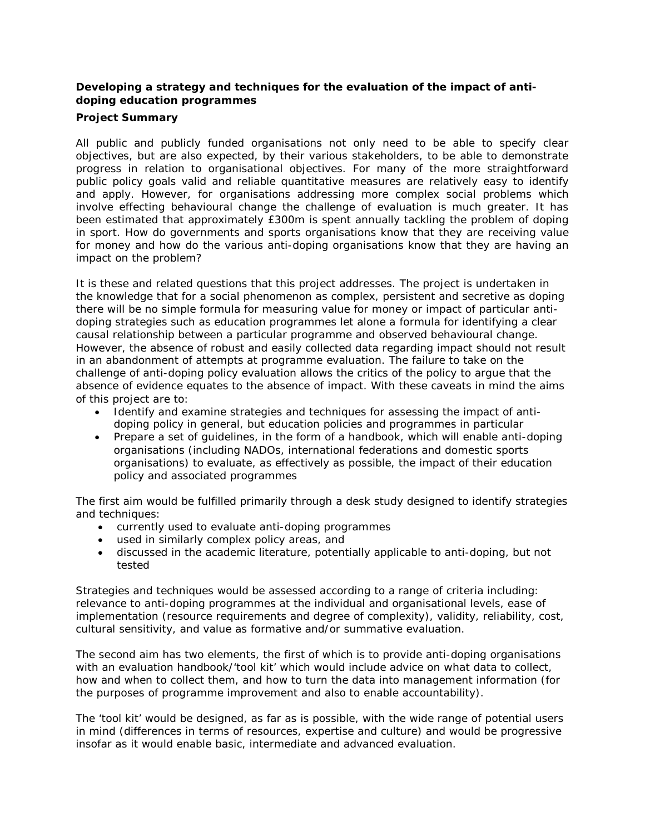## **Developing a strategy and techniques for the evaluation of the impact of antidoping education programmes**

## **Project Summary**

All public and publicly funded organisations not only need to be able to specify clear objectives, but are also expected, by their various stakeholders, to be able to demonstrate progress in relation to organisational objectives. For many of the more straightforward public policy goals valid and reliable quantitative measures are relatively easy to identify and apply. However, for organisations addressing more complex social problems which involve effecting behavioural change the challenge of evaluation is much greater. It has been estimated that approximately £300m is spent annually tackling the problem of doping in sport. How do governments and sports organisations know that they are receiving value for money and how do the various anti-doping organisations know that they are having an impact on the problem?

It is these and related questions that this project addresses. The project is undertaken in the knowledge that for a social phenomenon as complex, persistent and secretive as doping there will be no simple formula for measuring value for money or impact of particular antidoping strategies such as education programmes let alone a formula for identifying a clear causal relationship between a particular programme and observed behavioural change. However, the absence of robust and easily collected data regarding impact should not result in an abandonment of attempts at programme evaluation. The failure to take on the challenge of anti-doping policy evaluation allows the critics of the policy to argue that the absence of evidence equates to the absence of impact. With these caveats in mind the aims of this project are to:

- Identify and examine strategies and techniques for assessing the impact of antidoping policy in general, but education policies and programmes in particular
- Prepare a set of guidelines, in the form of a handbook, which will enable anti-doping organisations (including NADOs, international federations and domestic sports organisations) to evaluate, as effectively as possible, the impact of their education policy and associated programmes

The first aim would be fulfilled primarily through a desk study designed to identify strategies and techniques:

- currently used to evaluate anti-doping programmes
- used in similarly complex policy areas, and
- discussed in the academic literature, potentially applicable to anti-doping, but not tested

Strategies and techniques would be assessed according to a range of criteria including: relevance to anti-doping programmes at the individual and organisational levels, ease of implementation (resource requirements and degree of complexity), validity, reliability, cost, cultural sensitivity, and value as formative and/or summative evaluation.

The second aim has two elements, the first of which is to provide anti-doping organisations with an evaluation handbook/'tool kit' which would include advice on what data to collect, how and when to collect them, and how to turn the data into management information (for the purposes of programme improvement and also to enable accountability).

The 'tool kit' would be designed, as far as is possible, with the wide range of potential users in mind (differences in terms of resources, expertise and culture) and would be progressive insofar as it would enable basic, intermediate and advanced evaluation.